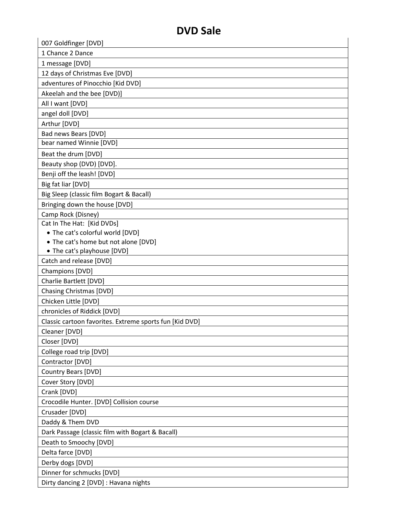| 007 Goldfinger [DVD]                                                     |
|--------------------------------------------------------------------------|
| 1 Chance 2 Dance                                                         |
| 1 message [DVD]                                                          |
| 12 days of Christmas Eve [DVD]                                           |
| adventures of Pinocchio [Kid DVD]                                        |
|                                                                          |
| Akeelah and the bee [DVD)]                                               |
| All I want [DVD]                                                         |
| angel doll [DVD]                                                         |
| Arthur [DVD]                                                             |
| Bad news Bears [DVD]                                                     |
| bear named Winnie [DVD]                                                  |
| Beat the drum [DVD]                                                      |
| Beauty shop (DVD) [DVD].                                                 |
| Benji off the leash! [DVD]                                               |
| Big fat liar [DVD]                                                       |
| Big Sleep (classic film Bogart & Bacall)                                 |
| Bringing down the house [DVD]                                            |
| Camp Rock (Disney)                                                       |
| Cat In The Hat: [Kid DVDs]                                               |
| • The cat's colorful world [DVD]<br>• The cat's home but not alone [DVD] |
| • The cat's playhouse [DVD]                                              |
| Catch and release [DVD]                                                  |
| Champions [DVD]                                                          |
| Charlie Bartlett [DVD]                                                   |
| <b>Chasing Christmas [DVD]</b>                                           |
| Chicken Little [DVD]                                                     |
| chronicles of Riddick [DVD]                                              |
| Classic cartoon favorites. Extreme sports fun [Kid DVD]                  |
| Cleaner [DVD]                                                            |
| Closer [DVD]                                                             |
| College road trip [DVD]                                                  |
| Contractor [DVD]                                                         |
| Country Bears [DVD]                                                      |
| Cover Story [DVD]                                                        |
| Crank [DVD]                                                              |
| Crocodile Hunter. [DVD] Collision course                                 |
|                                                                          |
| Crusader [DVD]                                                           |
| Daddy & Them DVD                                                         |
| Dark Passage (classic film with Bogart & Bacall)                         |
| Death to Smoochy [DVD]                                                   |
| Delta farce [DVD]                                                        |
| Derby dogs [DVD]                                                         |
| Dinner for schmucks [DVD]                                                |
| Dirty dancing 2 [DVD] : Havana nights                                    |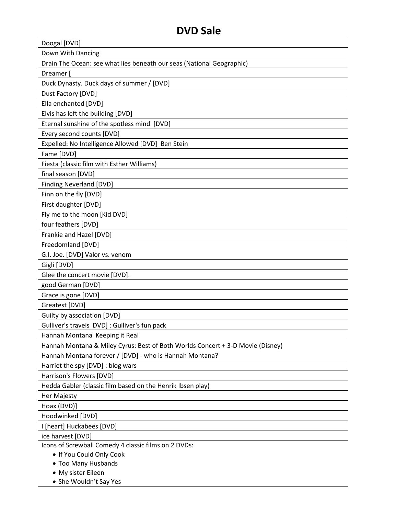| Doogal [DVD]                                                                   |
|--------------------------------------------------------------------------------|
| Down With Dancing                                                              |
| Drain The Ocean: see what lies beneath our seas (National Geographic)          |
| Dreamer [                                                                      |
| Duck Dynasty. Duck days of summer / [DVD]                                      |
| Dust Factory [DVD]                                                             |
| Ella enchanted [DVD]                                                           |
|                                                                                |
| Elvis has left the building [DVD]                                              |
| Eternal sunshine of the spotless mind [DVD]                                    |
| Every second counts [DVD]                                                      |
| Expelled: No Intelligence Allowed [DVD] Ben Stein                              |
| Fame [DVD]                                                                     |
| Fiesta (classic film with Esther Williams)                                     |
| final season [DVD]                                                             |
| <b>Finding Neverland [DVD]</b>                                                 |
| Finn on the fly [DVD]                                                          |
| First daughter [DVD]                                                           |
| Fly me to the moon [Kid DVD]                                                   |
| four feathers [DVD]                                                            |
| Frankie and Hazel [DVD]                                                        |
| Freedomland [DVD]                                                              |
| G.I. Joe. [DVD] Valor vs. venom                                                |
| Gigli [DVD]                                                                    |
| Glee the concert movie [DVD].                                                  |
| good German [DVD]                                                              |
| Grace is gone [DVD]                                                            |
| Greatest [DVD]                                                                 |
| Guilty by association [DVD]                                                    |
| Gulliver's travels DVD] : Gulliver's fun pack                                  |
| Hannah Montana Keeping it Real                                                 |
| Hannah Montana & Miley Cyrus: Best of Both Worlds Concert + 3-D Movie (Disney) |
| Hannah Montana forever / [DVD] - who is Hannah Montana?                        |
| Harriet the spy [DVD] : blog wars                                              |
| Harrison's Flowers [DVD]                                                       |
| Hedda Gabler (classic film based on the Henrik Ibsen play)                     |
| Her Majesty                                                                    |
| Hoax (DVD)]                                                                    |
| Hoodwinked [DVD]                                                               |
| I [heart] Huckabees [DVD]                                                      |
| ice harvest [DVD]                                                              |
| Icons of Screwball Comedy 4 classic films on 2 DVDs:                           |
| . If You Could Only Cook                                                       |
| • Too Many Husbands                                                            |
| • My sister Eileen                                                             |
| • She Wouldn't Say Yes                                                         |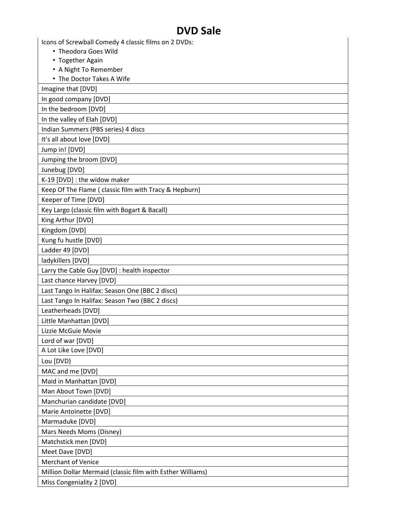| Icons of Screwball Comedy 4 classic films on 2 DVDs:       |
|------------------------------------------------------------|
| • Theodora Goes Wild                                       |
| • Together Again                                           |
| • A Night To Remember                                      |
| • The Doctor Takes A Wife                                  |
| Imagine that [DVD]                                         |
| In good company [DVD]                                      |
| In the bedroom [DVD]                                       |
| In the valley of Elah [DVD]                                |
| Indian Summers (PBS series) 4 discs                        |
| It's all about love [DVD]                                  |
| Jump in! [DVD]                                             |
| Jumping the broom [DVD]                                    |
| Junebug [DVD]                                              |
| K-19 [DVD] : the widow maker                               |
| Keep Of The Flame ( classic film with Tracy & Hepburn)     |
| Keeper of Time [DVD]                                       |
| Key Largo (classic film with Bogart & Bacall)              |
| King Arthur [DVD]                                          |
| Kingdom [DVD]                                              |
| Kung fu hustle [DVD]                                       |
| Ladder 49 [DVD]                                            |
| ladykillers [DVD]                                          |
| Larry the Cable Guy [DVD] : health inspector               |
| Last chance Harvey [DVD]                                   |
| Last Tango In Halifax: Season One (BBC 2 discs)            |
| Last Tango In Halifax: Season Two (BBC 2 discs)            |
| Leatherheads [DVD]                                         |
| Little Manhattan [DVD]                                     |
| Lizzie McGuie Movie                                        |
| Lord of war [DVD]                                          |
| A Lot Like Love [DVD]                                      |
| Lou [DVD}                                                  |
| MAC and me [DVD]                                           |
| Maid in Manhattan [DVD]                                    |
| Man About Town [DVD]                                       |
| Manchurian candidate [DVD]                                 |
| Marie Antoinette [DVD]                                     |
| Marmaduke [DVD]                                            |
| Mars Needs Moms (Disney)                                   |
| Matchstick men [DVD]                                       |
| Meet Dave [DVD]                                            |
| <b>Merchant of Venice</b>                                  |
| Million Dollar Mermaid (classic film with Esther Williams) |
| Miss Congeniality 2 [DVD]                                  |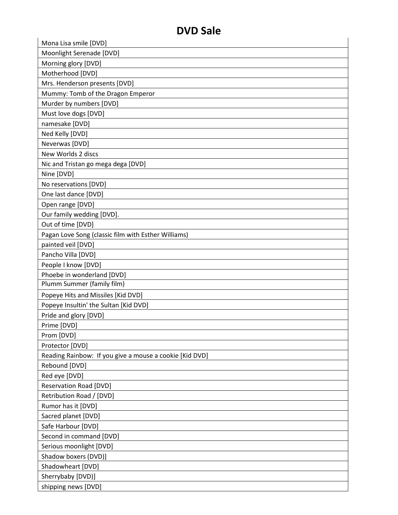| Mona Lisa smile [DVD]                                   |  |
|---------------------------------------------------------|--|
| Moonlight Serenade [DVD]                                |  |
| Morning glory [DVD]                                     |  |
| Motherhood [DVD]                                        |  |
| Mrs. Henderson presents [DVD]                           |  |
| Mummy: Tomb of the Dragon Emperor                       |  |
| Murder by numbers [DVD]                                 |  |
| Must love dogs [DVD]                                    |  |
| namesake [DVD]                                          |  |
| Ned Kelly [DVD]                                         |  |
| Neverwas [DVD]                                          |  |
| New Worlds 2 discs                                      |  |
| Nic and Tristan go mega dega [DVD]                      |  |
| Nine [DVD]                                              |  |
| No reservations [DVD]                                   |  |
| One last dance [DVD]                                    |  |
| Open range [DVD]                                        |  |
| Our family wedding [DVD].                               |  |
| Out of time [DVD]                                       |  |
| Pagan Love Song (classic film with Esther Williams)     |  |
| painted veil [DVD]                                      |  |
| Pancho Villa [DVD]                                      |  |
| People I know [DVD]                                     |  |
| Phoebe in wonderland [DVD]                              |  |
| Plumm Summer (family film)                              |  |
| Popeye Hits and Missiles [Kid DVD]                      |  |
| Popeye Insultin' the Sultan [Kid DVD]                   |  |
| Pride and glory [DVD]                                   |  |
| Prime [DVD]                                             |  |
| Prom [DVD]                                              |  |
| Protector [DVD]                                         |  |
| Reading Rainbow: If you give a mouse a cookie [Kid DVD] |  |
| Rebound [DVD]                                           |  |
| Red eye [DVD]                                           |  |
| <b>Reservation Road [DVD]</b>                           |  |
| Retribution Road / [DVD]                                |  |
| Rumor has it [DVD]                                      |  |
| Sacred planet [DVD]                                     |  |
| Safe Harbour [DVD]                                      |  |
| Second in command [DVD]                                 |  |
| Serious moonlight [DVD]                                 |  |
| Shadow boxers (DVD)]                                    |  |
| Shadowheart [DVD]                                       |  |
| Sherrybaby [DVD)]                                       |  |
| shipping news [DVD]                                     |  |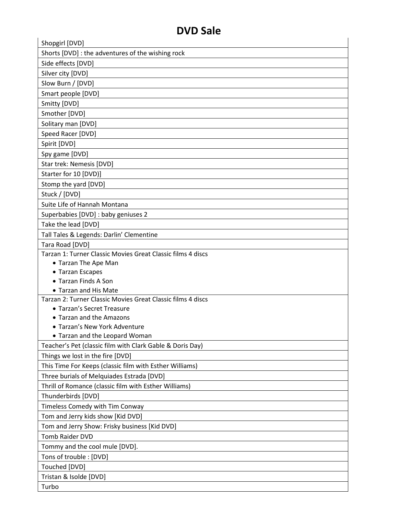| D V D JAIC                                                  |
|-------------------------------------------------------------|
| Shopgirl [DVD]                                              |
| Shorts [DVD] : the adventures of the wishing rock           |
| Side effects [DVD]                                          |
| Silver city [DVD]                                           |
| Slow Burn / [DVD]                                           |
| Smart people [DVD]                                          |
| Smitty [DVD]                                                |
| Smother [DVD]                                               |
| Solitary man [DVD]                                          |
| Speed Racer [DVD]                                           |
| Spirit [DVD]                                                |
| Spy game [DVD]                                              |
| Star trek: Nemesis [DVD]                                    |
| Starter for 10 [DVD)]                                       |
| Stomp the yard [DVD]                                        |
| Stuck / [DVD]                                               |
| Suite Life of Hannah Montana                                |
| Superbabies [DVD] : baby geniuses 2                         |
| Take the lead [DVD]                                         |
| Tall Tales & Legends: Darlin' Clementine                    |
| Tara Road [DVD]                                             |
| Tarzan 1: Turner Classic Movies Great Classic films 4 discs |
| • Tarzan The Ape Man                                        |
| • Tarzan Escapes                                            |
| • Tarzan Finds A Son                                        |
| • Tarzan and His Mate                                       |
| Tarzan 2: Turner Classic Movies Great Classic films 4 discs |
| • Tarzan's Secret Treasure                                  |
| • Tarzan and the Amazons<br>• Tarzan's New York Adventure   |
| • Tarzan and the Leopard Woman                              |
| Teacher's Pet (classic film with Clark Gable & Doris Day)   |
| Things we lost in the fire [DVD]                            |
| This Time For Keeps (classic film with Esther Williams)     |
| Three burials of Melquiades Estrada [DVD]                   |
| Thrill of Romance (classic film with Esther Williams)       |
|                                                             |
| Thunderbirds [DVD]                                          |
| Timeless Comedy with Tim Conway                             |
| Tom and Jerry kids show [Kid DVD]                           |
| Tom and Jerry Show: Frisky business [Kid DVD]               |
| <b>Tomb Raider DVD</b>                                      |
| Tommy and the cool mule [DVD].                              |
| Tons of trouble : [DVD]                                     |
| Touched [DVD]                                               |
| Tristan & Isolde [DVD]                                      |
| Turbo                                                       |